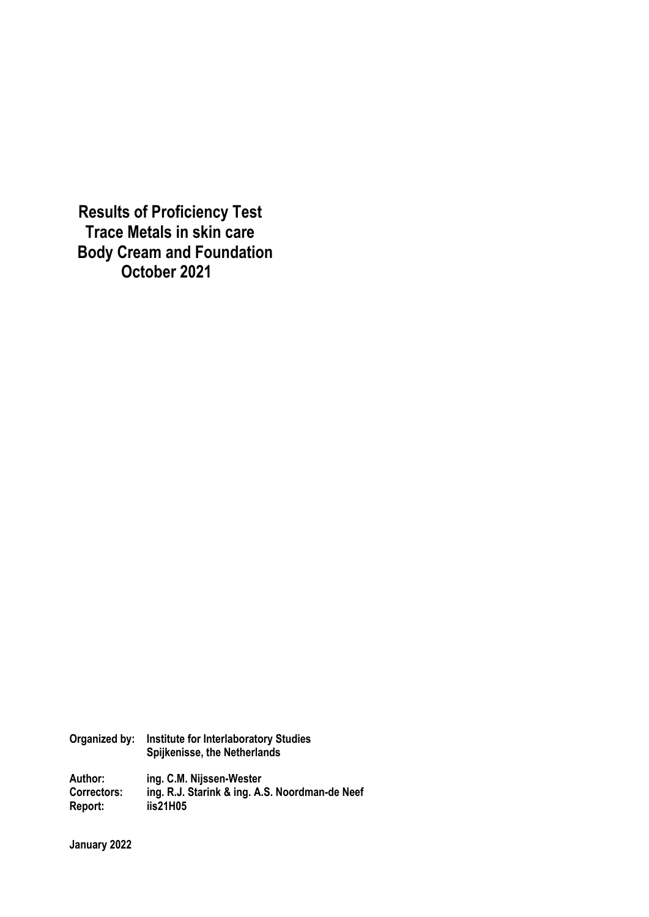**Results of Proficiency Test Trace Metals in skin care Body Cream and Foundation October 2021**

**Organized by: Institute for Interlaboratory Studies Spijkenisse, the Netherlands** 

**Author: ing. C.M. Nijssen-Wester Correctors: ing. R.J. Starink & ing. A.S. Noordman-de Neef Report: iis21H05** 

**January 2022**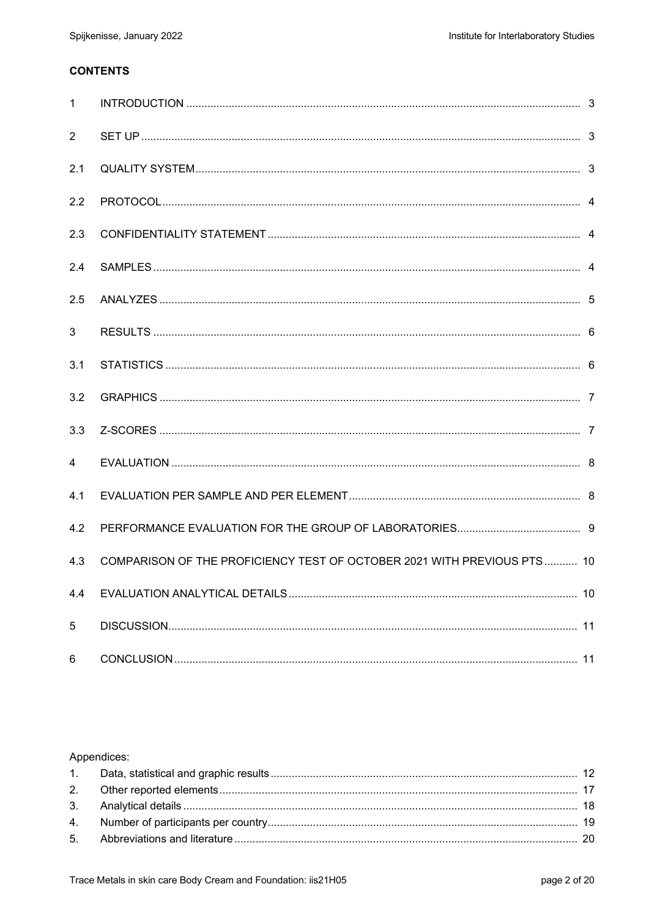# **CONTENTS**

| $\mathbf{1}$   |                                                                         |  |
|----------------|-------------------------------------------------------------------------|--|
| $\overline{2}$ |                                                                         |  |
| 2.1            |                                                                         |  |
| 2.2            |                                                                         |  |
| 2.3            |                                                                         |  |
| 2.4            |                                                                         |  |
| 2.5            |                                                                         |  |
| 3              |                                                                         |  |
| 3.1            |                                                                         |  |
| 3.2            |                                                                         |  |
| 3.3            |                                                                         |  |
| 4              |                                                                         |  |
| 4.1            |                                                                         |  |
| 4.2            |                                                                         |  |
| 4.3            | COMPARISON OF THE PROFICIENCY TEST OF OCTOBER 2021 WITH PREVIOUS PTS 10 |  |
| 4.4            |                                                                         |  |
| 5              |                                                                         |  |
| 6              |                                                                         |  |

# Appendices: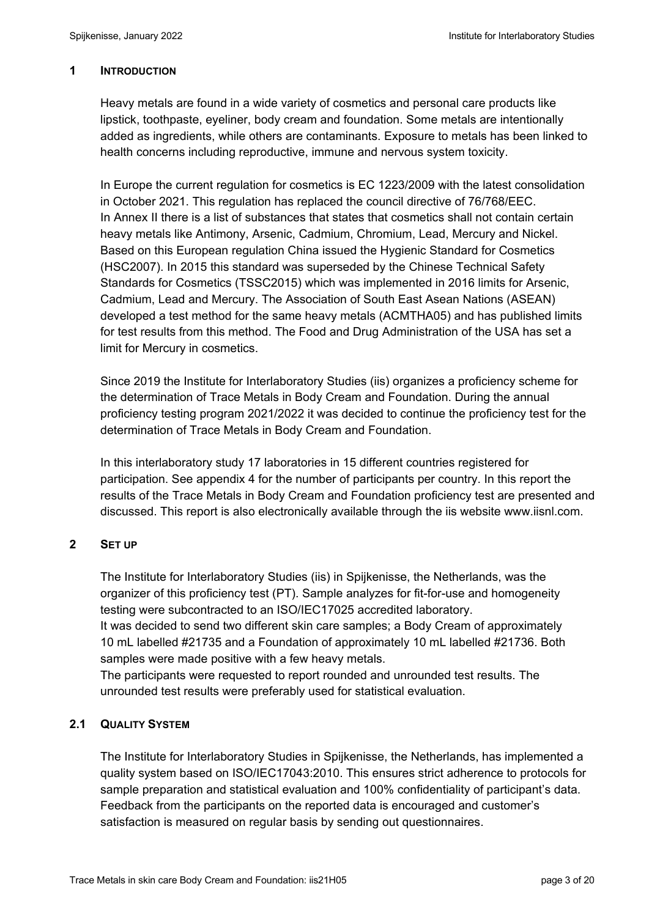## **1 INTRODUCTION**

Heavy metals are found in a wide variety of cosmetics and personal care products like lipstick, toothpaste, eyeliner, body cream and foundation. Some metals are intentionally added as ingredients, while others are contaminants. Exposure to metals has been linked to health concerns including reproductive, immune and nervous system toxicity.

In Europe the current regulation for cosmetics is EC 1223/2009 with the latest consolidation in October 2021. This regulation has replaced the council directive of 76/768/EEC. In Annex II there is a list of substances that states that cosmetics shall not contain certain heavy metals like Antimony, Arsenic, Cadmium, Chromium, Lead, Mercury and Nickel. Based on this European regulation China issued the Hygienic Standard for Cosmetics (HSC2007). In 2015 this standard was superseded by the Chinese Technical Safety Standards for Cosmetics (TSSC2015) which was implemented in 2016 limits for Arsenic, Cadmium, Lead and Mercury. The Association of South East Asean Nations (ASEAN) developed a test method for the same heavy metals (ACMTHA05) and has published limits for test results from this method. The Food and Drug Administration of the USA has set a limit for Mercury in cosmetics.

Since 2019 the Institute for Interlaboratory Studies (iis) organizes a proficiency scheme for the determination of Trace Metals in Body Cream and Foundation. During the annual proficiency testing program 2021/2022 it was decided to continue the proficiency test for the determination of Trace Metals in Body Cream and Foundation.

In this interlaboratory study 17 laboratories in 15 different countries registered for participation. See appendix 4 for the number of participants per country. In this report the results of the Trace Metals in Body Cream and Foundation proficiency test are presented and discussed. This report is also electronically available through the iis website www.iisnl.com.

# **2 SET UP**

The Institute for Interlaboratory Studies (iis) in Spijkenisse, the Netherlands, was the organizer of this proficiency test (PT). Sample analyzes for fit-for-use and homogeneity testing were subcontracted to an ISO/IEC17025 accredited laboratory.

It was decided to send two different skin care samples; a Body Cream of approximately 10 mL labelled #21735 and a Foundation of approximately 10 mL labelled #21736. Both samples were made positive with a few heavy metals.

The participants were requested to report rounded and unrounded test results. The unrounded test results were preferably used for statistical evaluation.

# **2.1 QUALITY SYSTEM**

The Institute for Interlaboratory Studies in Spijkenisse, the Netherlands, has implemented a quality system based on ISO/IEC17043:2010. This ensures strict adherence to protocols for sample preparation and statistical evaluation and 100% confidentiality of participant's data. Feedback from the participants on the reported data is encouraged and customer's satisfaction is measured on regular basis by sending out questionnaires.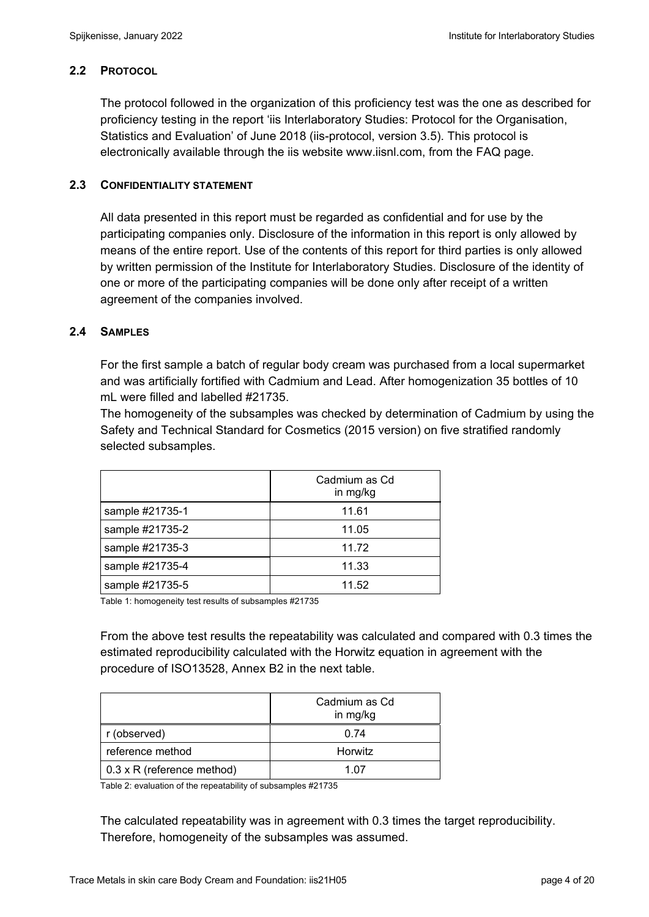# **2.2 PROTOCOL**

The protocol followed in the organization of this proficiency test was the one as described for proficiency testing in the report 'iis Interlaboratory Studies: Protocol for the Organisation, Statistics and Evaluation' of June 2018 (iis-protocol, version 3.5). This protocol is electronically available through the iis website www.iisnl.com, from the FAQ page.

## **2.3 CONFIDENTIALITY STATEMENT**

All data presented in this report must be regarded as confidential and for use by the participating companies only. Disclosure of the information in this report is only allowed by means of the entire report. Use of the contents of this report for third parties is only allowed by written permission of the Institute for Interlaboratory Studies. Disclosure of the identity of one or more of the participating companies will be done only after receipt of a written agreement of the companies involved.

## **2.4 SAMPLES**

For the first sample a batch of regular body cream was purchased from a local supermarket and was artificially fortified with Cadmium and Lead. After homogenization 35 bottles of 10 mL were filled and labelled #21735.

The homogeneity of the subsamples was checked by determination of Cadmium by using the Safety and Technical Standard for Cosmetics (2015 version) on five stratified randomly selected subsamples.

|                 | Cadmium as Cd<br>in mg/kg |
|-----------------|---------------------------|
| sample #21735-1 | 11.61                     |
| sample #21735-2 | 11.05                     |
| sample #21735-3 | 11.72                     |
| sample #21735-4 | 11.33                     |
| sample #21735-5 | 11.52                     |

Table 1: homogeneity test results of subsamples #21735

From the above test results the repeatability was calculated and compared with 0.3 times the estimated reproducibility calculated with the Horwitz equation in agreement with the procedure of ISO13528, Annex B2 in the next table.

|                                   | Cadmium as Cd<br>in mg/kg |
|-----------------------------------|---------------------------|
| r (observed)                      | 0.74                      |
| reference method                  | <b>Horwitz</b>            |
| $0.3 \times R$ (reference method) | 1 በ7                      |

Table 2: evaluation of the repeatability of subsamples #21735

The calculated repeatability was in agreement with 0.3 times the target reproducibility. Therefore, homogeneity of the subsamples was assumed.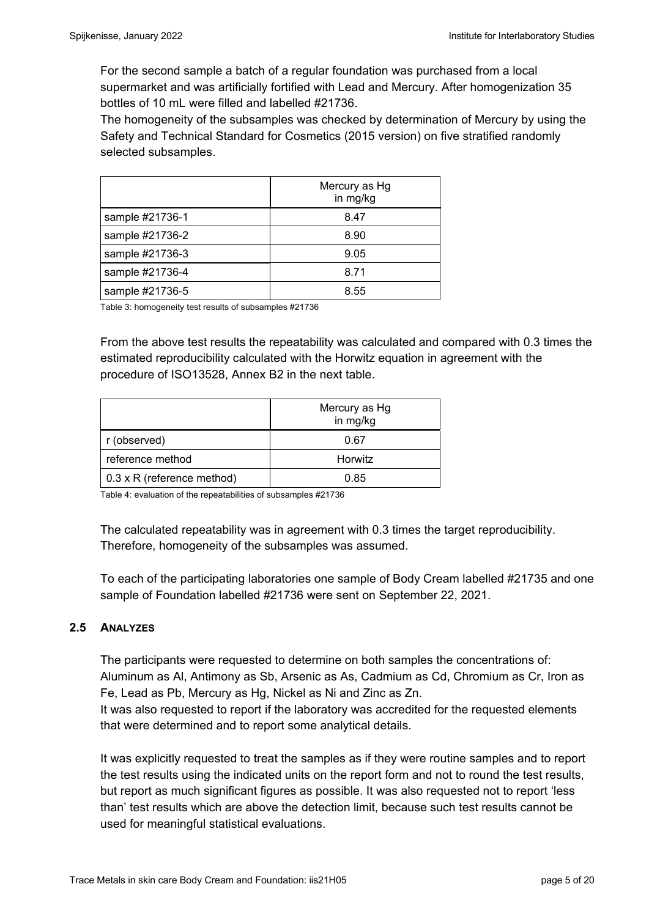For the second sample a batch of a regular foundation was purchased from a local supermarket and was artificially fortified with Lead and Mercury. After homogenization 35 bottles of 10 mL were filled and labelled #21736.

The homogeneity of the subsamples was checked by determination of Mercury by using the Safety and Technical Standard for Cosmetics (2015 version) on five stratified randomly selected subsamples.

|                 | Mercury as Hg<br>in mg/kg |
|-----------------|---------------------------|
| sample #21736-1 | 8.47                      |
| sample #21736-2 | 8.90                      |
| sample #21736-3 | 9.05                      |
| sample #21736-4 | 8.71                      |
| sample #21736-5 | 8.55                      |

Table 3: homogeneity test results of subsamples #21736

From the above test results the repeatability was calculated and compared with 0.3 times the estimated reproducibility calculated with the Horwitz equation in agreement with the procedure of ISO13528, Annex B2 in the next table.

|                            | Mercury as Hg<br>in mg/kg |
|----------------------------|---------------------------|
| r (observed)               | 0.67                      |
| reference method           | Horwitz                   |
| 0.3 x R (reference method) | 0.85                      |

Table 4: evaluation of the repeatabilities of subsamples #21736

The calculated repeatability was in agreement with 0.3 times the target reproducibility. Therefore, homogeneity of the subsamples was assumed.

To each of the participating laboratories one sample of Body Cream labelled #21735 and one sample of Foundation labelled #21736 were sent on September 22, 2021.

# **2.5 ANALYZES**

The participants were requested to determine on both samples the concentrations of: Aluminum as Al, Antimony as Sb, Arsenic as As, Cadmium as Cd, Chromium as Cr, Iron as Fe, Lead as Pb, Mercury as Hg, Nickel as Ni and Zinc as Zn. It was also requested to report if the laboratory was accredited for the requested elements that were determined and to report some analytical details.

It was explicitly requested to treat the samples as if they were routine samples and to report the test results using the indicated units on the report form and not to round the test results, but report as much significant figures as possible. It was also requested not to report 'less than' test results which are above the detection limit, because such test results cannot be used for meaningful statistical evaluations.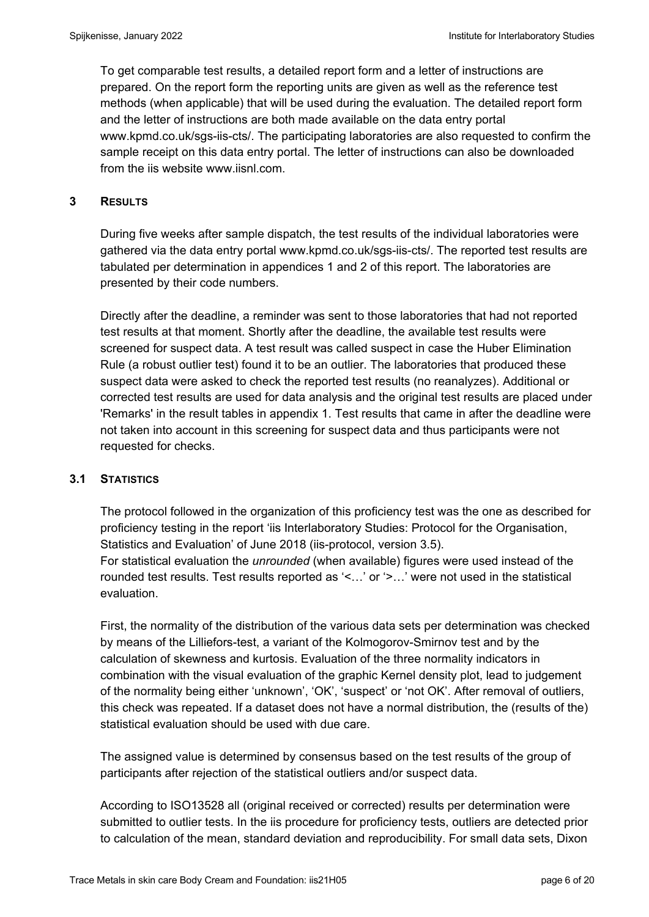To get comparable test results, a detailed report form and a letter of instructions are prepared. On the report form the reporting units are given as well as the reference test methods (when applicable) that will be used during the evaluation. The detailed report form and the letter of instructions are both made available on the data entry portal www.kpmd.co.uk/sgs-iis-cts/. The participating laboratories are also requested to confirm the sample receipt on this data entry portal. The letter of instructions can also be downloaded from the iis website www.iisnl.com.

## **3 RESULTS**

During five weeks after sample dispatch, the test results of the individual laboratories were gathered via the data entry portal www.kpmd.co.uk/sgs-iis-cts/. The reported test results are tabulated per determination in appendices 1 and 2 of this report. The laboratories are presented by their code numbers.

Directly after the deadline, a reminder was sent to those laboratories that had not reported test results at that moment. Shortly after the deadline, the available test results were screened for suspect data. A test result was called suspect in case the Huber Elimination Rule (a robust outlier test) found it to be an outlier. The laboratories that produced these suspect data were asked to check the reported test results (no reanalyzes). Additional or corrected test results are used for data analysis and the original test results are placed under 'Remarks' in the result tables in appendix 1. Test results that came in after the deadline were not taken into account in this screening for suspect data and thus participants were not requested for checks.

## **3.1 STATISTICS**

The protocol followed in the organization of this proficiency test was the one as described for proficiency testing in the report 'iis Interlaboratory Studies: Protocol for the Organisation, Statistics and Evaluation' of June 2018 (iis-protocol, version 3.5). For statistical evaluation the *unrounded* (when available) figures were used instead of the rounded test results. Test results reported as '<…' or '>…' were not used in the statistical evaluation.

First, the normality of the distribution of the various data sets per determination was checked by means of the Lilliefors-test, a variant of the Kolmogorov-Smirnov test and by the calculation of skewness and kurtosis. Evaluation of the three normality indicators in combination with the visual evaluation of the graphic Kernel density plot, lead to judgement of the normality being either 'unknown', 'OK', 'suspect' or 'not OK'. After removal of outliers, this check was repeated. If a dataset does not have a normal distribution, the (results of the) statistical evaluation should be used with due care.

The assigned value is determined by consensus based on the test results of the group of participants after rejection of the statistical outliers and/or suspect data.

According to ISO13528 all (original received or corrected) results per determination were submitted to outlier tests. In the iis procedure for proficiency tests, outliers are detected prior to calculation of the mean, standard deviation and reproducibility. For small data sets, Dixon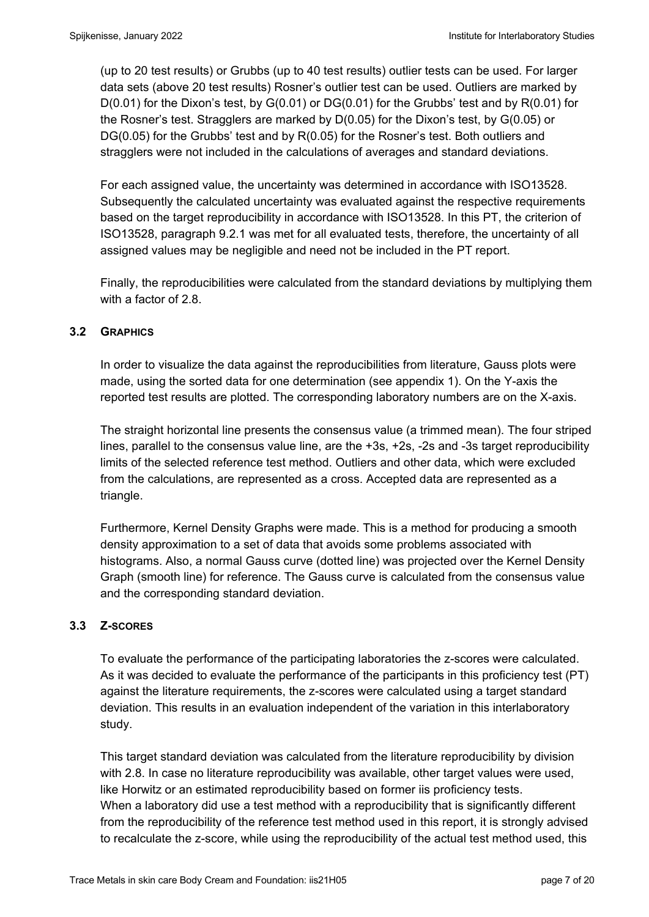(up to 20 test results) or Grubbs (up to 40 test results) outlier tests can be used. For larger data sets (above 20 test results) Rosner's outlier test can be used. Outliers are marked by D(0.01) for the Dixon's test, by G(0.01) or DG(0.01) for the Grubbs' test and by R(0.01) for the Rosner's test. Stragglers are marked by D(0.05) for the Dixon's test, by G(0.05) or DG(0.05) for the Grubbs' test and by R(0.05) for the Rosner's test. Both outliers and stragglers were not included in the calculations of averages and standard deviations.

For each assigned value, the uncertainty was determined in accordance with ISO13528. Subsequently the calculated uncertainty was evaluated against the respective requirements based on the target reproducibility in accordance with ISO13528. In this PT, the criterion of ISO13528, paragraph 9.2.1 was met for all evaluated tests, therefore, the uncertainty of all assigned values may be negligible and need not be included in the PT report.

Finally, the reproducibilities were calculated from the standard deviations by multiplying them with a factor of 2.8.

# **3.2 GRAPHICS**

In order to visualize the data against the reproducibilities from literature, Gauss plots were made, using the sorted data for one determination (see appendix 1). On the Y-axis the reported test results are plotted. The corresponding laboratory numbers are on the X-axis.

The straight horizontal line presents the consensus value (a trimmed mean). The four striped lines, parallel to the consensus value line, are the +3s, +2s, -2s and -3s target reproducibility limits of the selected reference test method. Outliers and other data, which were excluded from the calculations, are represented as a cross. Accepted data are represented as a triangle.

Furthermore, Kernel Density Graphs were made. This is a method for producing a smooth density approximation to a set of data that avoids some problems associated with histograms. Also, a normal Gauss curve (dotted line) was projected over the Kernel Density Graph (smooth line) for reference. The Gauss curve is calculated from the consensus value and the corresponding standard deviation.

## **3.3 Z-SCORES**

To evaluate the performance of the participating laboratories the z-scores were calculated. As it was decided to evaluate the performance of the participants in this proficiency test (PT) against the literature requirements, the z-scores were calculated using a target standard deviation. This results in an evaluation independent of the variation in this interlaboratory study.

This target standard deviation was calculated from the literature reproducibility by division with 2.8. In case no literature reproducibility was available, other target values were used, like Horwitz or an estimated reproducibility based on former iis proficiency tests. When a laboratory did use a test method with a reproducibility that is significantly different from the reproducibility of the reference test method used in this report, it is strongly advised to recalculate the z-score, while using the reproducibility of the actual test method used, this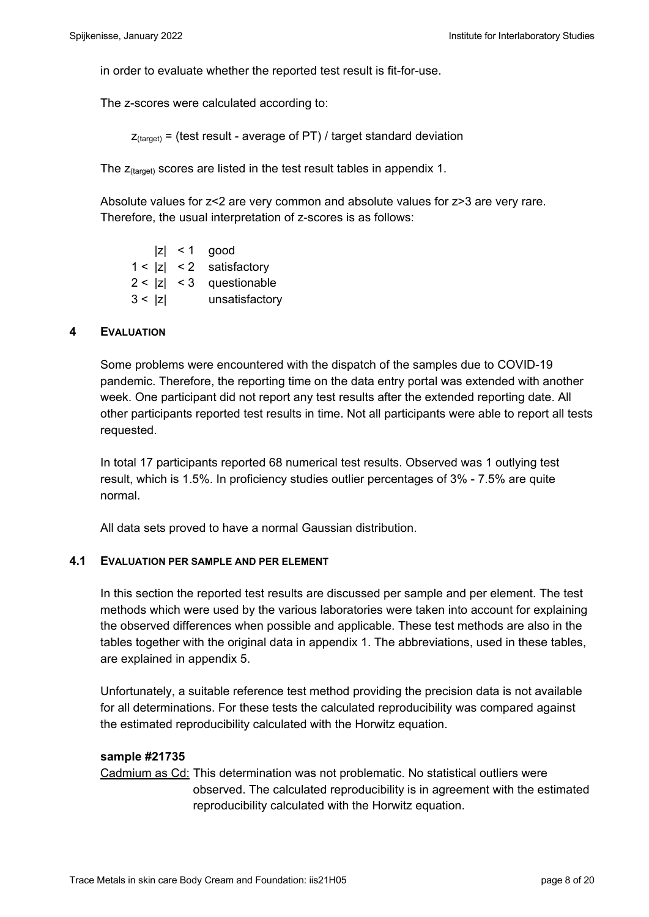in order to evaluate whether the reported test result is fit-for-use.

The z-scores were calculated according to:

 $Z_{\text{(target)}}$  = (test result - average of PT) / target standard deviation

The  $z_{\text{(target)}}$  scores are listed in the test result tables in appendix 1.

Absolute values for z<2 are very common and absolute values for z>3 are very rare. Therefore, the usual interpretation of z-scores is as follows:

|        | $ z  < 1$ good             |
|--------|----------------------------|
|        | $1 <  z  < 2$ satisfactory |
|        | $2 <  z  < 3$ questionable |
| 3 <  z | unsatisfactory             |

#### **4 EVALUATION**

Some problems were encountered with the dispatch of the samples due to COVID-19 pandemic. Therefore, the reporting time on the data entry portal was extended with another week. One participant did not report any test results after the extended reporting date. All other participants reported test results in time. Not all participants were able to report all tests requested.

In total 17 participants reported 68 numerical test results. Observed was 1 outlying test result, which is 1.5%. In proficiency studies outlier percentages of 3% - 7.5% are quite normal.

All data sets proved to have a normal Gaussian distribution.

#### **4.1 EVALUATION PER SAMPLE AND PER ELEMENT**

In this section the reported test results are discussed per sample and per element. The test methods which were used by the various laboratories were taken into account for explaining the observed differences when possible and applicable. These test methods are also in the tables together with the original data in appendix 1. The abbreviations, used in these tables, are explained in appendix 5.

Unfortunately, a suitable reference test method providing the precision data is not available for all determinations. For these tests the calculated reproducibility was compared against the estimated reproducibility calculated with the Horwitz equation.

#### **sample #21735**

Cadmium as Cd: This determination was not problematic. No statistical outliers were observed. The calculated reproducibility is in agreement with the estimated reproducibility calculated with the Horwitz equation.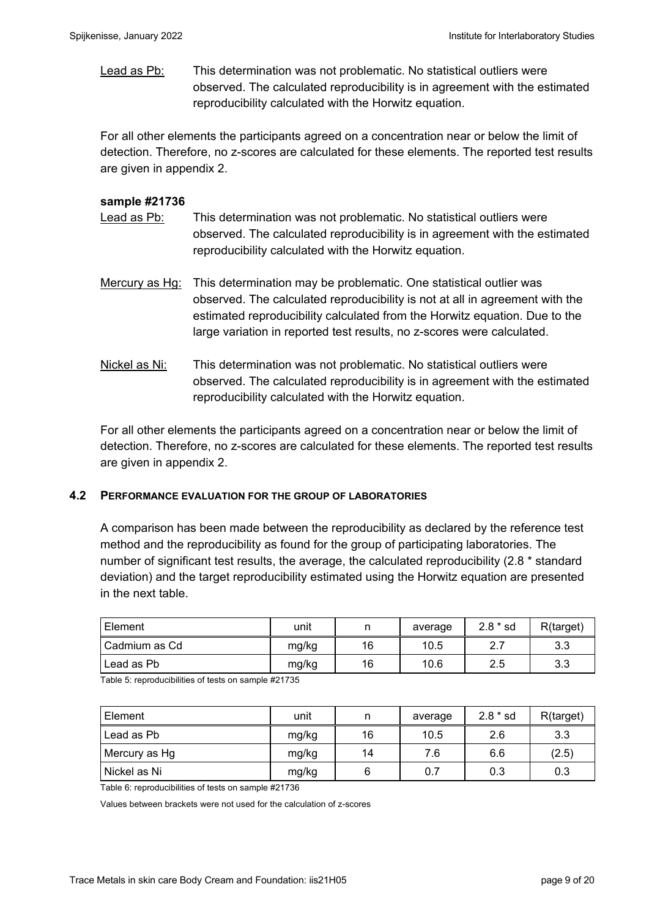Lead as Pb: This determination was not problematic. No statistical outliers were observed. The calculated reproducibility is in agreement with the estimated reproducibility calculated with the Horwitz equation.

For all other elements the participants agreed on a concentration near or below the limit of detection. Therefore, no z-scores are calculated for these elements. The reported test results are given in appendix 2.

### **sample #21736**

- Lead as Pb: This determination was not problematic. No statistical outliers were observed. The calculated reproducibility is in agreement with the estimated reproducibility calculated with the Horwitz equation.
- Mercury as Hg: This determination may be problematic. One statistical outlier was observed. The calculated reproducibility is not at all in agreement with the estimated reproducibility calculated from the Horwitz equation. Due to the large variation in reported test results, no z-scores were calculated.
- Nickel as Ni: This determination was not problematic. No statistical outliers were observed. The calculated reproducibility is in agreement with the estimated reproducibility calculated with the Horwitz equation.

For all other elements the participants agreed on a concentration near or below the limit of detection. Therefore, no z-scores are calculated for these elements. The reported test results are given in appendix 2.

#### **4.2 PERFORMANCE EVALUATION FOR THE GROUP OF LABORATORIES**

A comparison has been made between the reproducibility as declared by the reference test method and the reproducibility as found for the group of participating laboratories. The number of significant test results, the average, the calculated reproducibility (2.8 \* standard deviation) and the target reproducibility estimated using the Horwitz equation are presented in the next table.

| ∣ Element     | unit  |    | average | $2.8 * sd$ | R(target) |
|---------------|-------|----|---------|------------|-----------|
| Cadmium as Cd | mg/kg | 16 | 10.5    | <u>.</u>   | 3.3       |
| l Lead as Pb  | mg/kg | 16 | 10.6    | 2.5        | 3.3       |

Table 5: reproducibilities of tests on sample #21735

| Element       | unit  | n  | average | $2.8 * sd$ | R(target) |
|---------------|-------|----|---------|------------|-----------|
| Lead as Pb    | mg/kg | 16 | 10.5    | 2.6        | 3.3       |
| Mercury as Hg | mg/kg | 14 | 7.6     | 6.6        | (2.5)     |
| Nickel as Ni  | mg/kg | 6  | 0.7     | 0.3        | 0.3       |

Table 6: reproducibilities of tests on sample #21736

Values between brackets were not used for the calculation of z-scores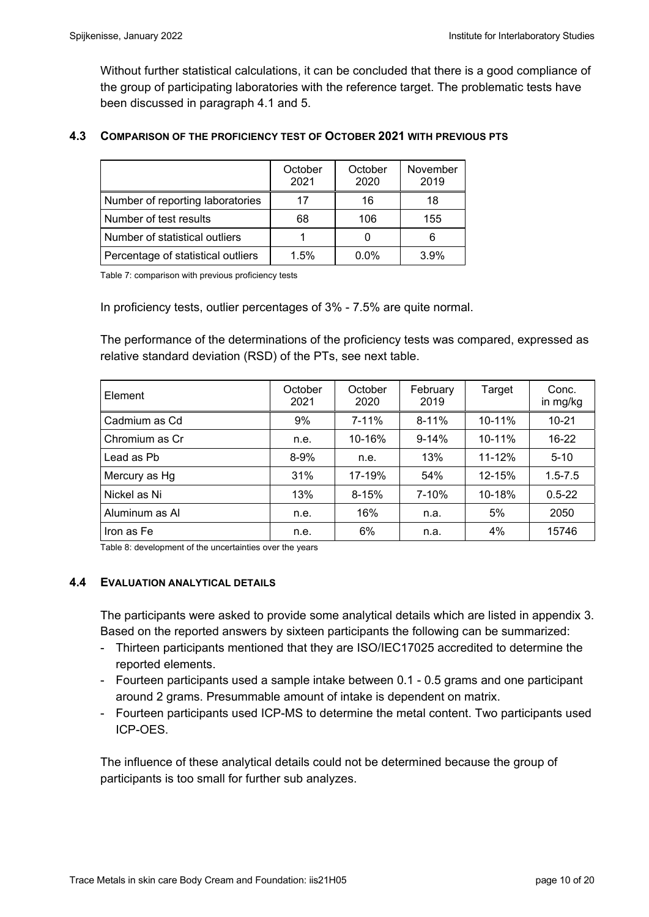Without further statistical calculations, it can be concluded that there is a good compliance of the group of participating laboratories with the reference target. The problematic tests have been discussed in paragraph 4.1 and 5.

#### **4.3 COMPARISON OF THE PROFICIENCY TEST OF OCTOBER 2021 WITH PREVIOUS PTS**

|                                    | October<br>2021 | October<br>2020 | November<br>2019 |
|------------------------------------|-----------------|-----------------|------------------|
| Number of reporting laboratories   | 17              | 16              | 18               |
| Number of test results             | 68              | 106             | 155              |
| Number of statistical outliers     |                 |                 |                  |
| Percentage of statistical outliers | 1.5%            | $0.0\%$         | 3.9%             |

Table 7: comparison with previous proficiency tests

In proficiency tests, outlier percentages of 3% - 7.5% are quite normal.

The performance of the determinations of the proficiency tests was compared, expressed as relative standard deviation (RSD) of the PTs, see next table.

| Element        | October<br>2021 | October<br>2020 | February<br>2019 | Target     | Conc.<br>in mg/kg |
|----------------|-----------------|-----------------|------------------|------------|-------------------|
| Cadmium as Cd  | 9%              | 7-11%           | $8 - 11%$        | $10 - 11%$ | $10 - 21$         |
| Chromium as Cr | n.e.            | 10-16%          | $9 - 14%$        | $10 - 11%$ | $16 - 22$         |
| Lead as Pb     | $8 - 9%$        | n.e.            | 13%              | 11-12%     | $5 - 10$          |
| Mercury as Hg  | 31%             | 17-19%          | 54%              | 12-15%     | $1.5 - 7.5$       |
| Nickel as Ni   | 13%             | $8 - 15%$       | 7-10%            | 10-18%     | $0.5 - 22$        |
| Aluminum as Al | n.e.            | 16%             | n.a.             | 5%         | 2050              |
| Iron as Fe     | n.e.            | 6%              | n.a.             | 4%         | 15746             |

Table 8: development of the uncertainties over the years

#### **4.4 EVALUATION ANALYTICAL DETAILS**

The participants were asked to provide some analytical details which are listed in appendix 3. Based on the reported answers by sixteen participants the following can be summarized:

- Thirteen participants mentioned that they are ISO/IEC17025 accredited to determine the reported elements.
- Fourteen participants used a sample intake between 0.1 0.5 grams and one participant around 2 grams. Presummable amount of intake is dependent on matrix.
- Fourteen participants used ICP-MS to determine the metal content. Two participants used ICP-OES.

The influence of these analytical details could not be determined because the group of participants is too small for further sub analyzes.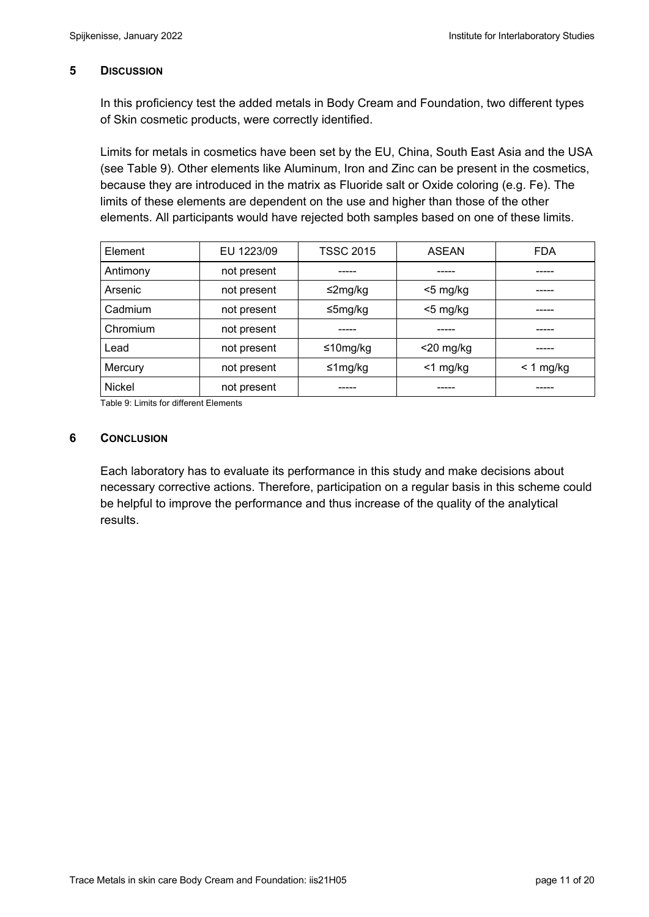## **5 DISCUSSION**

In this proficiency test the added metals in Body Cream and Foundation, two different types of Skin cosmetic products, were correctly identified.

Limits for metals in cosmetics have been set by the EU, China, South East Asia and the USA (see Table 9). Other elements like Aluminum, Iron and Zinc can be present in the cosmetics, because they are introduced in the matrix as Fluoride salt or Oxide coloring (e.g. Fe). The limits of these elements are dependent on the use and higher than those of the other elements. All participants would have rejected both samples based on one of these limits.

| Element  | EU 1223/09  | <b>TSSC 2015</b> | <b>ASEAN</b> | <b>FDA</b>  |
|----------|-------------|------------------|--------------|-------------|
| Antimony | not present |                  |              |             |
| Arsenic  | not present | $\leq$ 2mg/kg    | $<$ 5 mg/kg  |             |
| Cadmium  | not present | ≤5mg/kg          | $<$ 5 mg/kg  |             |
| Chromium | not present |                  |              |             |
| Lead     | not present | ≤10mg/kg         | $<$ 20 mg/kg |             |
| Mercury  | not present | ≤1mg/kg          | $<$ 1 mg/kg  | $< 1$ mg/kg |
| Nickel   | not present |                  |              |             |

Table 9: Limits for different Elements

#### **6** CONCLUSION

Each laboratory has to evaluate its performance in this study and make decisions about necessary corrective actions. Therefore, participation on a regular basis in this scheme could be helpful to improve the performance and thus increase of the quality of the analytical results.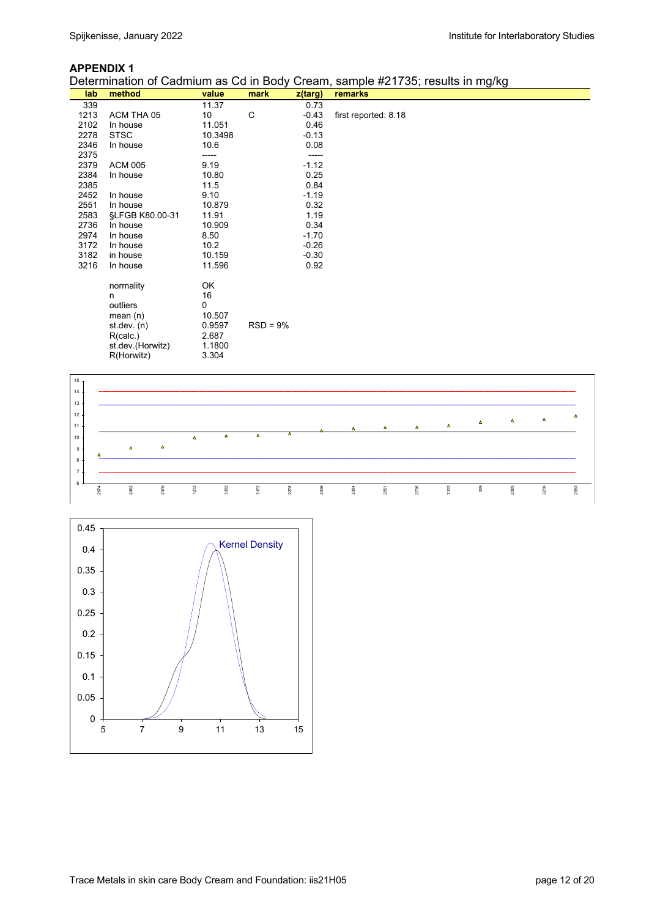#### **APPENDIX 1**

Determination of Cadmium as Cd in Body Cream, sample #21735; results in mg/kg



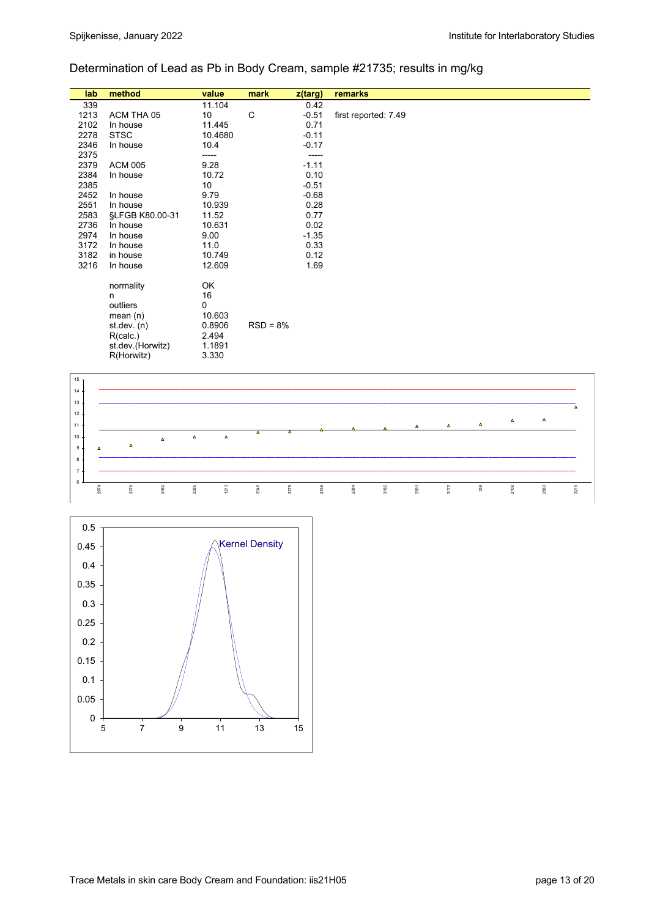# Determination of Lead as Pb in Body Cream, sample #21735; results in mg/kg

| lab  | method           | value   | mark       | z(targ) | remarks              |
|------|------------------|---------|------------|---------|----------------------|
| 339  |                  | 11.104  |            | 0.42    |                      |
| 1213 | ACM THA 05       | 10      | C          | $-0.51$ | first reported: 7.49 |
| 2102 | In house         | 11.445  |            | 0.71    |                      |
| 2278 | <b>STSC</b>      | 10.4680 |            | $-0.11$ |                      |
| 2346 | In house         | 10.4    |            | $-0.17$ |                      |
| 2375 |                  | -----   |            |         |                      |
| 2379 | <b>ACM 005</b>   | 9.28    |            | $-1.11$ |                      |
| 2384 | In house         | 10.72   |            | 0.10    |                      |
| 2385 |                  | 10      |            | $-0.51$ |                      |
| 2452 | In house         | 9.79    |            | $-0.68$ |                      |
| 2551 | In house         | 10.939  |            | 0.28    |                      |
| 2583 | §LFGB K80.00-31  | 11.52   |            | 0.77    |                      |
| 2736 | In house         | 10.631  |            | 0.02    |                      |
| 2974 | In house         | 9.00    |            | $-1.35$ |                      |
| 3172 | In house         | 11.0    |            | 0.33    |                      |
| 3182 | in house         | 10.749  |            | 0.12    |                      |
| 3216 | In house         | 12.609  |            | 1.69    |                      |
|      | normality        | OK      |            |         |                      |
|      | n                | 16      |            |         |                      |
|      | outliers         | 0       |            |         |                      |
|      | mean $(n)$       | 10.603  |            |         |                      |
|      | st.dev. $(n)$    | 0.8906  | $RSD = 8%$ |         |                      |
|      | R(calc.)         | 2.494   |            |         |                      |
|      | st.dev.(Horwitz) | 1.1891  |            |         |                      |
|      | R(Horwitz)       | 3.330   |            |         |                      |
|      |                  |         |            |         |                      |



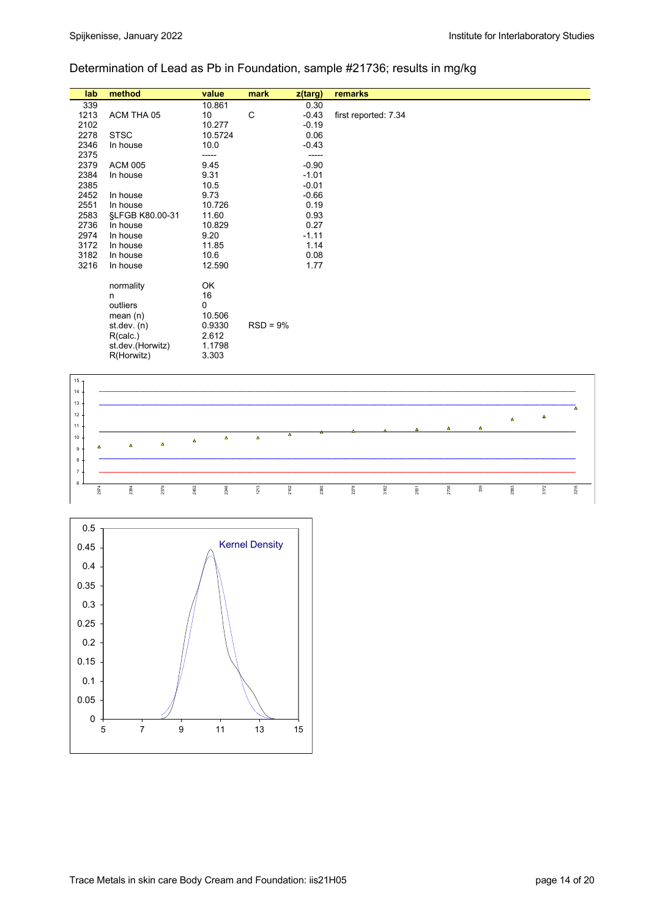# Determination of Lead as Pb in Foundation, sample #21736; results in mg/kg

| lab  | method           | value   | mark       | $z$ (targ) | remarks              |
|------|------------------|---------|------------|------------|----------------------|
| 339  |                  | 10.861  |            | 0.30       |                      |
| 1213 | ACM THA 05       | 10      | C          | $-0.43$    | first reported: 7.34 |
| 2102 |                  | 10.277  |            | $-0.19$    |                      |
| 2278 | <b>STSC</b>      | 10.5724 |            | 0.06       |                      |
| 2346 | In house         | 10.0    |            | $-0.43$    |                      |
| 2375 |                  | -----   |            | -----      |                      |
| 2379 | <b>ACM 005</b>   | 9.45    |            | $-0.90$    |                      |
| 2384 | In house         | 9.31    |            | $-1.01$    |                      |
| 2385 |                  | 10.5    |            | $-0.01$    |                      |
| 2452 | In house         | 9.73    |            | $-0.66$    |                      |
| 2551 | In house         | 10.726  |            | 0.19       |                      |
| 2583 | §LFGB K80.00-31  | 11.60   |            | 0.93       |                      |
| 2736 | In house         | 10.829  |            | 0.27       |                      |
| 2974 | In house         | 9.20    |            | $-1.11$    |                      |
| 3172 | In house         | 11.85   |            | 1.14       |                      |
| 3182 | In house         | 10.6    |            | 0.08       |                      |
| 3216 | In house         | 12.590  |            | 1.77       |                      |
|      | normality        | OK      |            |            |                      |
|      | n                | 16      |            |            |                      |
|      | outliers         | 0       |            |            |                      |
|      | mean $(n)$       | 10.506  |            |            |                      |
|      | st. dev. (n)     | 0.9330  | $RSD = 9%$ |            |                      |
|      | R(calc.)         | 2.612   |            |            |                      |
|      | st.dev.(Horwitz) | 1.1798  |            |            |                      |
|      | R(Horwitz)       | 3.303   |            |            |                      |
|      |                  |         |            |            |                      |



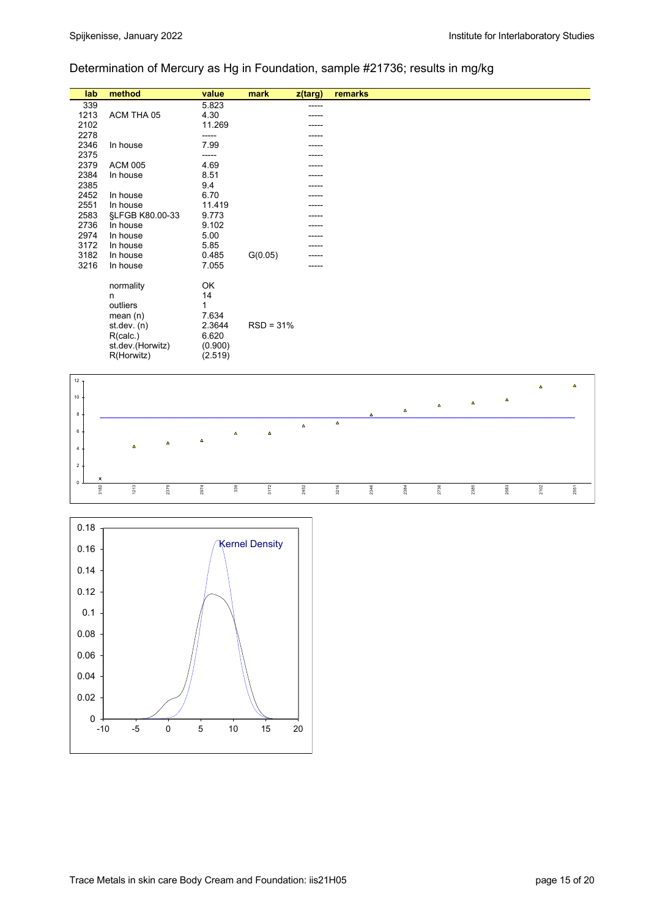# Determination of Mercury as Hg in Foundation, sample #21736; results in mg/kg

| lab  | method           | value   | mark        | z(targ) | remarks |
|------|------------------|---------|-------------|---------|---------|
| 339  |                  | 5.823   |             |         |         |
| 1213 | ACM THA 05       | 4.30    |             |         |         |
| 2102 |                  | 11.269  |             |         |         |
| 2278 |                  | -----   |             |         |         |
| 2346 | In house         | 7.99    |             |         |         |
| 2375 |                  |         |             |         |         |
| 2379 | <b>ACM 005</b>   | 4.69    |             |         |         |
| 2384 | In house         | 8.51    |             |         |         |
| 2385 |                  | 9.4     |             |         |         |
| 2452 | In house         | 6.70    |             |         |         |
| 2551 | In house         | 11.419  |             |         |         |
| 2583 | §LFGB K80.00-33  | 9.773   |             |         |         |
| 2736 | In house         | 9.102   |             |         |         |
| 2974 | In house         | 5.00    |             |         |         |
| 3172 | In house         | 5.85    |             |         |         |
| 3182 | In house         | 0.485   | G(0.05)     |         |         |
| 3216 | In house         | 7.055   |             |         |         |
|      |                  | OK      |             |         |         |
|      | normality<br>n   | 14      |             |         |         |
|      | outliers         | 1       |             |         |         |
|      | mean $(n)$       | 7.634   |             |         |         |
|      | st. dev. (n)     | 2.3644  | $RSD = 31%$ |         |         |
|      | R(calc.)         | 6.620   |             |         |         |
|      | st.dev.(Horwitz) | (0.900) |             |         |         |
|      | R(Horwitz)       | (2.519) |             |         |         |
|      |                  |         |             |         |         |



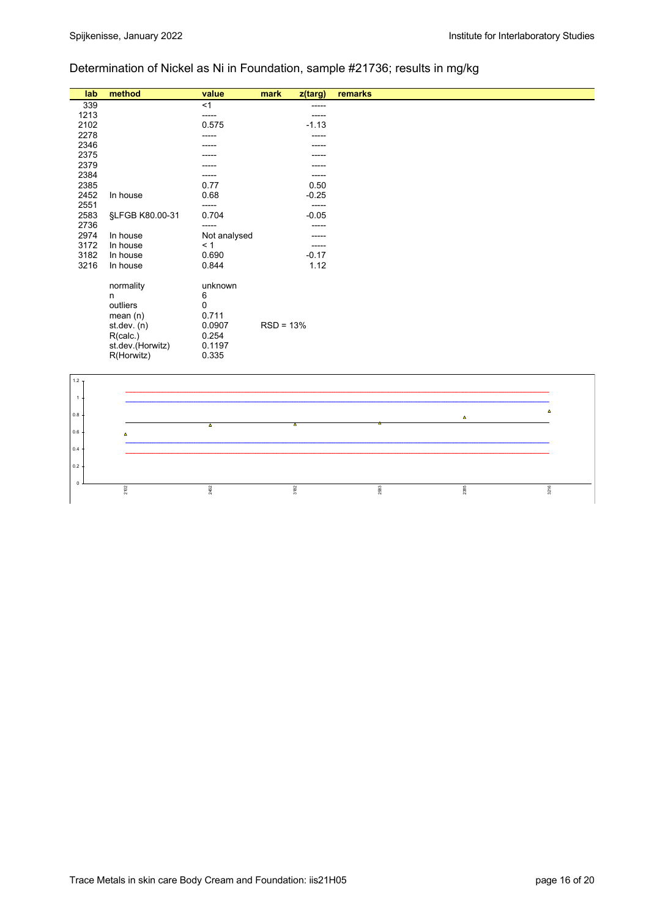# Determination of Nickel as Ni in Foundation, sample #21736; results in mg/kg

| lab          | method           | value                   | mark        | z(targ)     | remarks |                |          |
|--------------|------------------|-------------------------|-------------|-------------|---------|----------------|----------|
| 339          |                  | <1                      |             | -----       |         |                |          |
| 1213         |                  | -----                   |             | $- - - - -$ |         |                |          |
| 2102         |                  | 0.575                   |             | $-1.13$     |         |                |          |
| 2278         |                  | -----                   |             |             |         |                |          |
| 2346         |                  |                         |             |             |         |                |          |
| 2375         |                  |                         |             |             |         |                |          |
| 2379         |                  |                         |             |             |         |                |          |
| 2384         |                  |                         |             |             |         |                |          |
| 2385         |                  | 0.77                    |             | 0.50        |         |                |          |
| 2452         | In house         | 0.68                    |             | $-0.25$     |         |                |          |
| 2551         |                  | -----                   |             | $-----$     |         |                |          |
| 2583<br>2736 | §LFGB K80.00-31  | 0.704                   |             | $-0.05$     |         |                |          |
| 2974         | In house         | -----                   |             | $-----$     |         |                |          |
| 3172         | In house         | Not analysed<br>< 1     |             |             |         |                |          |
| 3182         | In house         | 0.690                   |             | $-0.17$     |         |                |          |
| 3216         | In house         | 0.844                   |             | 1.12        |         |                |          |
|              |                  |                         |             |             |         |                |          |
|              | normality        | unknown                 |             |             |         |                |          |
|              | n                | 6                       |             |             |         |                |          |
|              | outliers         | 0                       |             |             |         |                |          |
|              | mean(n)          | 0.711                   |             |             |         |                |          |
|              | st.dev. (n)      | 0.0907                  | $RSD = 13%$ |             |         |                |          |
|              | R(calc.)         | 0.254                   |             |             |         |                |          |
|              | st.dev.(Horwitz) | 0.1197                  |             |             |         |                |          |
|              | R(Horwitz)       | 0.335                   |             |             |         |                |          |
|              |                  |                         |             |             |         |                |          |
| $1.2 -$      |                  |                         |             |             |         |                |          |
|              |                  |                         |             |             |         |                |          |
| $\mathbf{1}$ |                  |                         |             |             |         |                |          |
|              |                  |                         |             |             |         |                | $\Delta$ |
| $0.8\,$      |                  |                         |             |             |         | $\pmb{\Delta}$ |          |
| $0.6\,$      |                  | $\overline{\mathbf{A}}$ | ∡           |             |         |                |          |
|              | $\pmb{\Delta}$   |                         |             |             |         |                |          |
| 0.4          |                  |                         |             |             |         |                |          |
|              |                  |                         |             |             |         |                |          |
| 0.2          |                  |                         |             |             |         |                |          |
| $\mathsf 0$  |                  |                         |             |             |         |                |          |
|              | 2102             | 2452                    | 3182        |             | 2583    | 2385           | 3216     |
|              |                  |                         |             |             |         |                |          |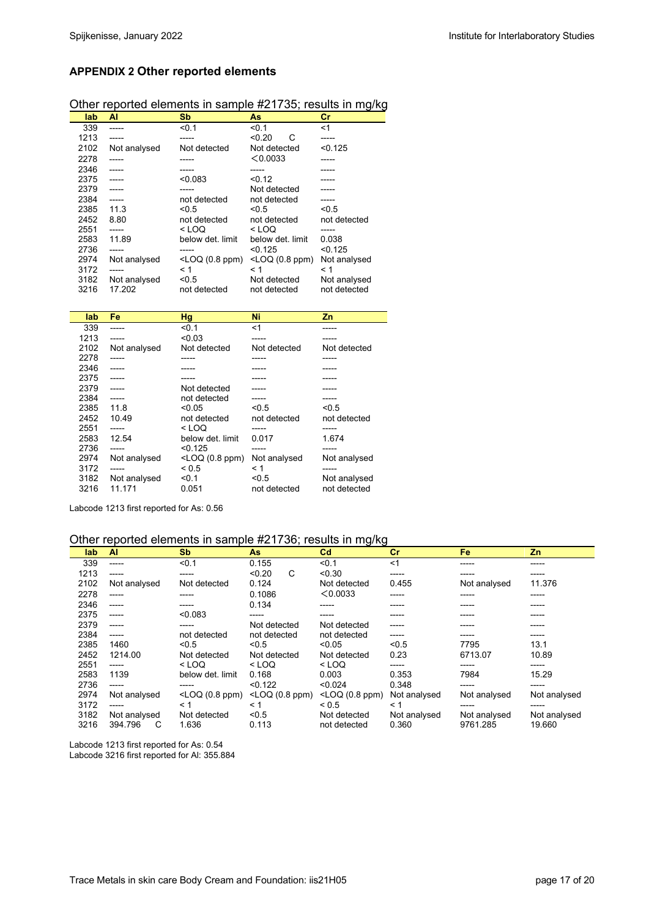## **APPENDIX 2 Other reported elements**

# Other reported elements in sample #21735; results in mg/kg

| lab  | AI           | <b>Sb</b>         | <b>As</b>              | cr           |
|------|--------------|-------------------|------------------------|--------------|
| 339  |              | < 0.1             | < 0.1                  | $<$ 1        |
| 1213 |              |                   | < 0.20<br>С            |              |
| 2102 | Not analysed | Not detected      | Not detected           | < 0.125      |
| 2278 |              |                   | < 0.0033               |              |
| 2346 |              |                   |                        |              |
| 2375 |              | < 0.083           | < 0.12                 |              |
| 2379 |              |                   | Not detected           |              |
| 2384 | -----        | not detected      | not detected           |              |
| 2385 | 11.3         | < 0.5             | < 0.5                  | < 0.5        |
| 2452 | 8.80         | not detected      | not detected           | not detected |
| 2551 |              | $<$ LOQ           | $<$ LOO                |              |
| 2583 | 11.89        | below det. limit  | below det. limit       | 0.038        |
| 2736 |              |                   | < 0.125                | < 0.125      |
| 2974 | Not analysed | $<$ LOQ (0.8 ppm) | $<$ LOQ $(0.8$ ppm $)$ | Not analysed |
| 3172 |              | < 1               | < 1                    | < 1          |
| 3182 | Not analysed | < 0.5             | Not detected           | Not analysed |
| 3216 | 17.202       | not detected      | not detected           | not detected |

| lab  | Fe           | <b>Hg</b>                                                                    | Ni           | Zn           |
|------|--------------|------------------------------------------------------------------------------|--------------|--------------|
| 339  |              | < 0.1                                                                        | $<$ 1        |              |
| 1213 | -----        | < 0.03                                                                       |              |              |
| 2102 | Not analysed | Not detected                                                                 | Not detected | Not detected |
| 2278 |              |                                                                              |              | -----        |
| 2346 |              |                                                                              |              |              |
| 2375 |              |                                                                              |              |              |
| 2379 |              | Not detected                                                                 |              |              |
| 2384 |              | not detected                                                                 |              | -----        |
| 2385 | 118          | < 0.05                                                                       | < 0.5        | < 0.5        |
| 2452 | 1049         | not detected                                                                 | not detected | not detected |
| 2551 | -----        | $<$ LOO                                                                      | -----        | -----        |
| 2583 | 12.54        | below det limit                                                              | 0.017        | 1.674        |
| 2736 | -----        | < 0.125                                                                      | -----        | -----        |
| 2974 | Not analysed | <loq (0.8="" ppm)<="" td=""><td>Not analysed</td><td>Not analysed</td></loq> | Not analysed | Not analysed |
| 3172 | -----        | < 0.5                                                                        | < 1          | -----        |
| 3182 | Not analysed | < 0.1                                                                        | < 0.5        | Not analysed |
| 3216 | 11 171       | 0.051                                                                        | not detected | not detected |

Labcode 1213 first reported for As: 0.56

#### Other reported elements in sample #21736; results in mg/kg

| lab  | <b>AI</b>    | <b>Sb</b>         | As                     | C <sub>d</sub>         | cr           | Fe           | Zn           |
|------|--------------|-------------------|------------------------|------------------------|--------------|--------------|--------------|
| 339  | -----        | < 0.1             | 0.155                  | < 0.1                  | $<$ 1        | -----        | -----        |
| 1213 | -----        | -----             | C<br>< 0.20            | < 0.30                 | -----        | -----        | -----        |
| 2102 | Not analysed | Not detected      | 0.124                  | Not detected           | 0.455        | Not analysed | 11.376       |
| 2278 | -----        | -----             | 0.1086                 | < 0.0033               | -----        | -----        | -----        |
| 2346 | -----        | -----             | 0.134                  | -----                  | -----        | -----        | -----        |
| 2375 | -----        | < 0.083           | -----                  | -----                  | -----        | -----        | -----        |
| 2379 | -----        | -----             | Not detected           | Not detected           | -----        | -----        | -----        |
| 2384 | -----        | not detected      | not detected           | not detected           | -----        | -----        | -----        |
| 2385 | 1460         | < 0.5             | < 0.5                  | < 0.05                 | < 0.5        | 7795         | 13.1         |
| 2452 | 1214.00      | Not detected      | Not detected           | Not detected           | 0.23         | 6713.07      | 10.89        |
| 2551 | -----        | $<$ LOQ           | $<$ LOQ                | $<$ LOO                | -----        | -----        | -----        |
| 2583 | 1139         | below det. limit  | 0.168                  | 0.003                  | 0.353        | 7984         | 15.29        |
| 2736 | -----        | -----             | < 0.122                | < 0.024                | 0.348        | -----        | -----        |
| 2974 | Not analysed | $<$ LOQ (0.8 ppm) | $<$ LOQ $(0.8$ ppm $)$ | $<$ LOQ $(0.8$ ppm $)$ | Not analysed | Not analysed | Not analysed |
| 3172 | -----        | < 1               | ← 1                    | < 0.5                  | < 1          | -----        | -----        |
| 3182 | Not analysed | Not detected      | < 0.5                  | Not detected           | Not analysed | Not analysed | Not analysed |
| 3216 | C<br>394.796 | 1.636             | 0.113                  | not detected           | 0.360        | 9761.285     | 19.660       |

Labcode 1213 first reported for As: 0.54 Labcode 3216 first reported for Al: 355.884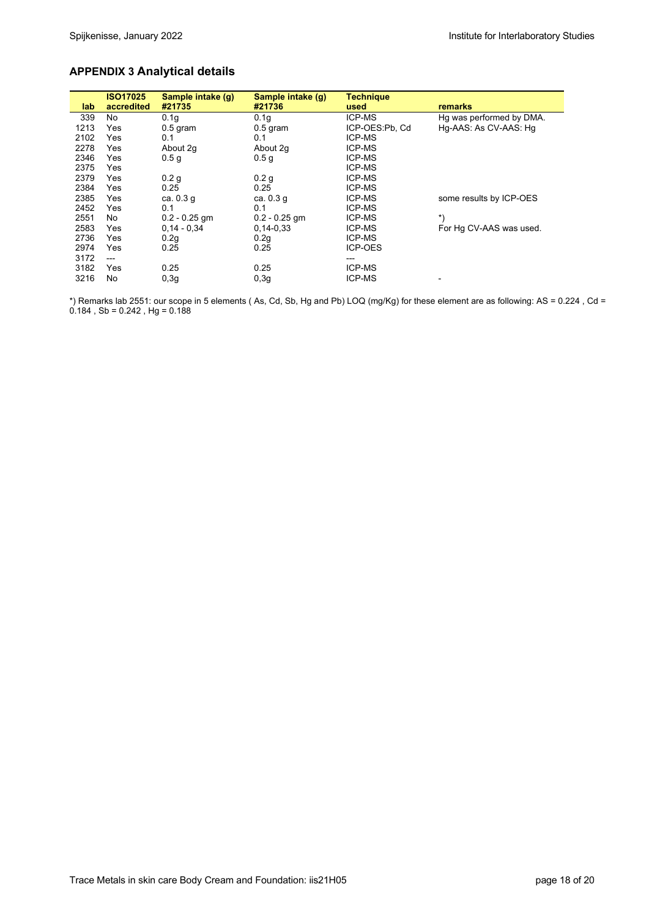# **APPENDIX 3 Analytical details**

|      | <b>ISO17025</b> | Sample intake (g) | Sample intake (g) | <b>Technique</b> |                          |
|------|-----------------|-------------------|-------------------|------------------|--------------------------|
| lab  | accredited      | #21735            | #21736            | used             | remarks                  |
| 339  | No              | 0.1 <sub>g</sub>  | 0.1 <sub>g</sub>  | ICP-MS           | Hg was performed by DMA. |
| 1213 | Yes             | $0.5$ gram        | $0.5$ gram        | ICP-OES:Pb, Cd   | Hg-AAS: As CV-AAS: Hg    |
| 2102 | Yes             | 0.1               | 0.1               | ICP-MS           |                          |
| 2278 | Yes             | About 2g          | About 2g          | ICP-MS           |                          |
| 2346 | Yes             | 0.5 <sub>q</sub>  | 0.5 <sub>g</sub>  | ICP-MS           |                          |
| 2375 | Yes             |                   |                   | <b>ICP-MS</b>    |                          |
| 2379 | Yes             | 0.2 <sub>g</sub>  | 0.2 <sub>g</sub>  | <b>ICP-MS</b>    |                          |
| 2384 | Yes             | 0.25              | 0.25              | <b>ICP-MS</b>    |                          |
| 2385 | Yes             | ca. $0.3q$        | ca. $0.3 g$       | <b>ICP-MS</b>    | some results by ICP-OES  |
| 2452 | Yes             | 0.1               | 0.1               | <b>ICP-MS</b>    |                          |
| 2551 | No.             | $0.2 - 0.25$ gm   | $0.2 - 0.25$ gm   | <b>ICP-MS</b>    | $*$                      |
| 2583 | Yes             | $0.14 - 0.34$     | $0,14-0,33$       | <b>ICP-MS</b>    | For Hg CV-AAS was used.  |
| 2736 | Yes             | 0.2g              | 0.2g              | <b>ICP-MS</b>    |                          |
| 2974 | Yes             | 0.25              | 0.25              | <b>ICP-OES</b>   |                          |
| 3172 | ---             |                   |                   | ---              |                          |
| 3182 | Yes             | 0.25              | 0.25              | <b>ICP-MS</b>    |                          |
| 3216 | No              | 0,3q              | 0,3q              | <b>ICP-MS</b>    |                          |

\*) Remarks lab 2551: our scope in 5 elements ( As, Cd, Sb, Hg and Pb) LOQ (mg/Kg) for these element are as following: AS = 0.224 , Cd =  $0.184$ , Sb =  $0.242$ , Hg =  $0.188$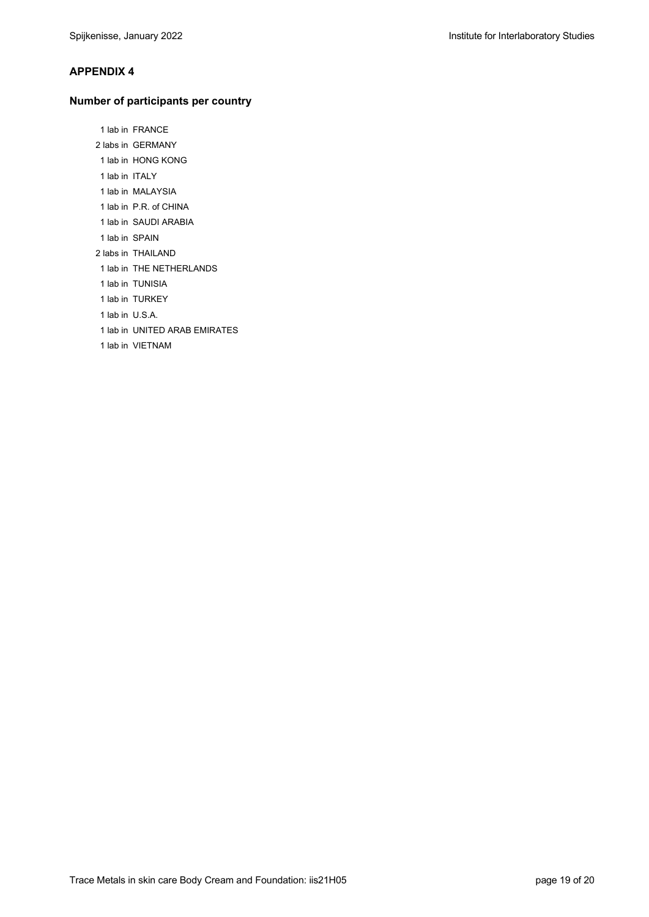### **APPENDIX 4**

#### **Number of participants per country**

 1 lab in FRANCE 2 labs in GERMANY 1 lab in HONG KONG 1 lab in ITALY

- 1 lab in MALAYSIA
- 1 lab in P.R. of CHINA
- 1 lab in SAUDI ARABIA
- 1 lab in SPAIN
- 2 labs in THAILAND
- 1 lab in THE NETHERLANDS
- 1 lab in TUNISIA
- 1 lab in TURKEY
- 1 lab in U.S.A.
- 1 lab in UNITED ARAB EMIRATES
- 1 lab in VIETNAM